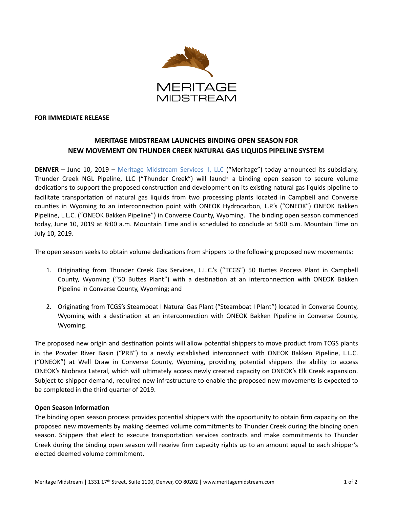

## **FOR IMMEDIATE RELEASE**

## **MERITAGE MIDSTREAM LAUNCHES BINDING OPEN SEASON FOR NEW MOVEMENT ON THUNDER CREEK NATURAL GAS LIQUIDS PIPELINE SYSTEM**

**DENVER** – June 10, 2019 – Meritage Midstream Services II, LLC ("Meritage") today announced its subsidiary, Thunder Creek NGL Pipeline, LLC ("Thunder Creek") will launch a binding open season to secure volume dedications to support the proposed construction and development on its existing natural gas liquids pipeline to facilitate transportation of natural gas liquids from two processing plants located in Campbell and Converse counties in Wyoming to an interconnection point with ONEOK Hydrocarbon, L.P.'s ("ONEOK") ONEOK Bakken Pipeline, L.L.C. ("ONEOK Bakken Pipeline") in Converse County, Wyoming. The binding open season commenced today, June 10, 2019 at 8:00 a.m. Mountain Time and is scheduled to conclude at 5:00 p.m. Mountain Time on July 10, 2019.

The open season seeks to obtain volume dedications from shippers to the following proposed new movements:

- 1. Originating from Thunder Creek Gas Services, L.L.C.'s ("TCGS") 50 Buttes Process Plant in Campbell County, Wyoming ("50 Buttes Plant") with a destination at an interconnection with ONEOK Bakken Pipeline in Converse County, Wyoming; and
- 2. Originating from TCGS's Steamboat I Natural Gas Plant ("Steamboat I Plant") located in Converse County, Wyoming with a destination at an interconnection with ONEOK Bakken Pipeline in Converse County, Wyoming.

The proposed new origin and destination points will allow potential shippers to move product from TCGS plants in the Powder River Basin ("PRB") to a newly established interconnect with ONEOK Bakken Pipeline, L.L.C. ("ONEOK") at Well Draw in Converse County, Wyoming, providing potential shippers the ability to access ONEOK's Niobrara Lateral, which will ultimately access newly created capacity on ONEOK's Elk Creek expansion. Subject to shipper demand, required new infrastructure to enable the proposed new movements is expected to be completed in the third quarter of 2019.

## **Open Season Information**

The binding open season process provides potential shippers with the opportunity to obtain firm capacity on the proposed new movements by making deemed volume commitments to Thunder Creek during the binding open season. Shippers that elect to execute transportation services contracts and make commitments to Thunder Creek during the binding open season will receive firm capacity rights up to an amount equal to each shipper's elected deemed volume commitment.